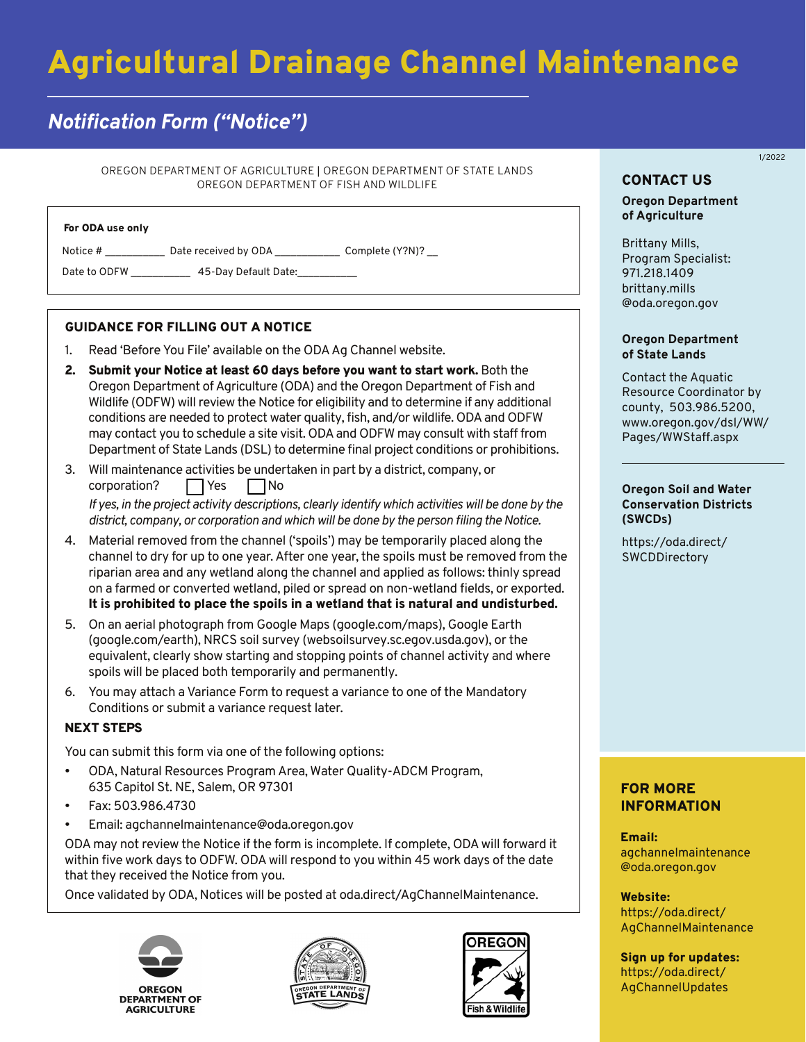# Agricultural Drainage Channel Maintenance

# *Notification Form ("Notice")*

OREGON DEPARTMENT OF AGRICULTURE | OREGON DEPARTMENT OF STATE LANDS OREGON DEPARTMENT OF FISH AND WILDLIFE

Notice # \_\_\_\_\_\_\_\_\_\_\_\_\_ Date received by ODA \_\_\_\_\_\_\_\_\_\_\_\_\_\_\_ Complete (Y?N)? \_\_

Date to ODFW \_\_\_\_\_\_\_\_\_\_\_\_\_\_ 45-Day Default Date:\_\_\_\_\_\_\_\_\_

#### GUIDANCE FOR FILLING OUT A NOTICE

- 1. Read 'Before You File' available on the ODA Ag Channel website.
- 2. Submit your Notice at least 60 days before you want to start work. Both the Oregon Department of Agriculture (ODA) and the Oregon Department of Fish and Wildlife (ODFW) will review the Notice for eligibility and to determine if any additional conditions are needed to protect water quality, fish, and/or wildlife. ODA and ODFW may contact you to schedule a site visit. ODA and ODFW may consult with staff from Department of State Lands (DSL) to determine final project conditions or prohibitions.
- 3. Will maintenance activities be undertaken in part by a district, company, or  $corporation?$   $\Box$  Yes  $\Box$  No

*If yes, in the project activity descriptions, clearly identify which activities will be done by the district, company, or corporation and which will be done by the person filing the Notice.*

- 4. Material removed from the channel ('spoils') may be temporarily placed along the channel to dry for up to one year. After one year, the spoils must be removed from the riparian area and any wetland along the channel and applied as follows: thinly spread on a farmed or converted wetland, piled or spread on non-wetland fields, or exported. It is prohibited to place the spoils in a wetland that is natural and undisturbed.
- 5. On an aerial photograph from Google Maps (google.com/maps), Google Earth (google.com/earth), NRCS soil survey (websoilsurvey.sc.egov.usda.gov), or the equivalent, clearly show starting and stopping points of channel activity and where spoils will be placed both temporarily and permanently.
- 6. You may attach a Variance Form to request a variance to one of the Mandatory Conditions or submit a variance request later.

#### NEXT STEPS

You can submit this form via one of the following options:

- ODA, Natural Resources Program Area, Water Quality-ADCM Program, 635 Capitol St. NE, Salem, OR 97301
- Fax: 503.986.4730
- Email: agchannelmaintenance@oda.oregon.gov

ODA may not review the Notice if the form is incomplete. If complete, ODA will forward it within five work days to ODFW. ODA will respond to you within 45 work days of the date that they received the Notice from you.

Once validated by ODA, Notices will be posted at oda.direct/AgChannelMaintenance.







## CONTACT US

**Oregon Department of Agriculture**

1/2022

Brittany Mills, Program Specialist: 971.218.1409 brittany.mills [@oda.oregon.gov](mailto:brittany.mills@oda.oregon.gov) 

#### **Oregon Department of State Lands**

Contact the Aquatic Resource Coordinator by county, 503.986.5200, [www.oregon.gov/dsl/WW/](www.oregon.gov/dsl/WW/Pages/WWStaff.aspx) Pages/WWStaff.aspx

#### **Oregon Soil and Water Conservation Districts (SWCDs)**

[https://oda.direct/](https://oda.direct/SWCDDirectory) **SWCDDirectory** 

### FOR MORE INFORMATION

Email: [agchannelmaintenance](mailto:agchannelmaintenance@oda.oregon.gov)  @oda.oregon.gov

Website: https://oda.direct/ [AgChannelMaintenance](https://oda.direct/AgChannelMaintenance)

Sign up for updates: [https://oda.direct/](https://oda.direct/AgChannelUpdates)  AgChannelUpdates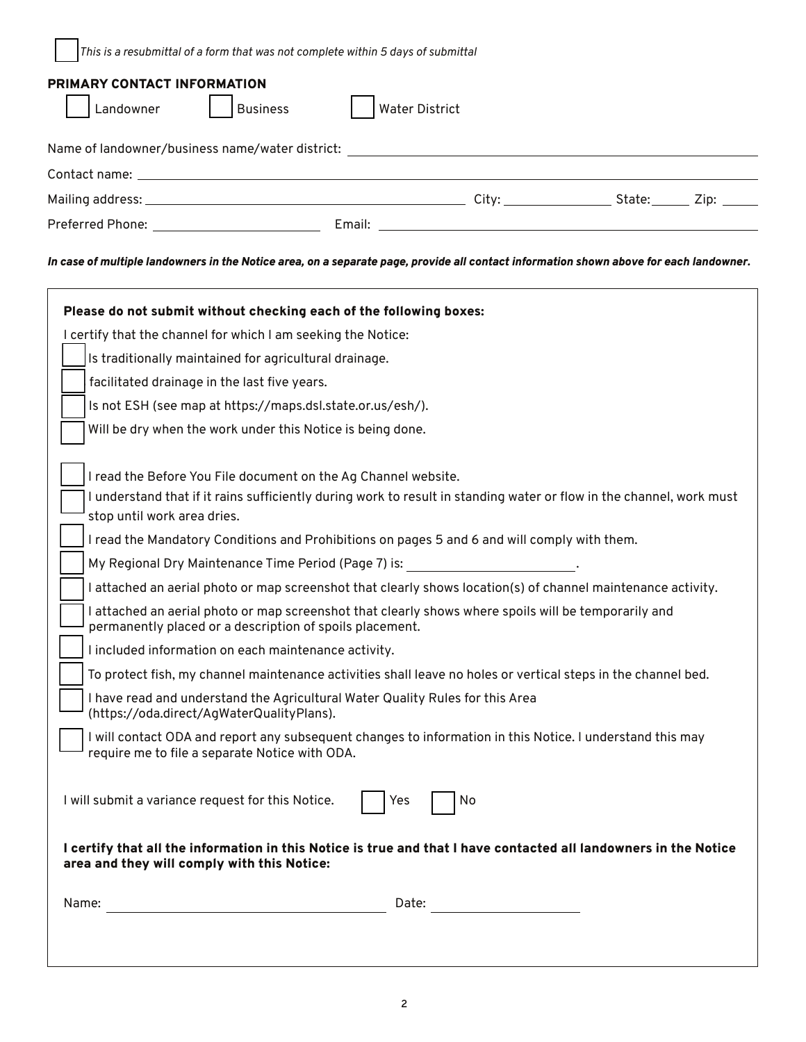*This is a resubmittal of a form that was not complete within 5 days of submittal*

| PRIMARY CONTACT INFORMATION<br>Landowner<br><b>Business</b> | <b>Water District</b> |                                                                                                                                                                                                                                |                    |  |
|-------------------------------------------------------------|-----------------------|--------------------------------------------------------------------------------------------------------------------------------------------------------------------------------------------------------------------------------|--------------------|--|
| Name of landowner/business name/water district:             |                       |                                                                                                                                                                                                                                |                    |  |
|                                                             |                       |                                                                                                                                                                                                                                |                    |  |
|                                                             |                       | City: the contract of the contract of the contract of the contract of the contract of the contract of the contract of the contract of the contract of the contract of the contract of the contract of the contract of the cont | State:_______ Zip: |  |
| Preferred Phone: 2008 2014 2022 2023                        | Email:                | <u> 1980 - Johann Stoff, amerikansk politiker (* 1900)</u>                                                                                                                                                                     |                    |  |

#### *In case of multiple landowners in the Notice area, on a separate page, provide all contact information shown above for each landowner.*

| I certify that the channel for which I am seeking the Notice:                                 |                                                                                                                      |
|-----------------------------------------------------------------------------------------------|----------------------------------------------------------------------------------------------------------------------|
| Is traditionally maintained for agricultural drainage.                                        |                                                                                                                      |
| facilitated drainage in the last five years.                                                  |                                                                                                                      |
| Is not ESH (see map at https://maps.dsl.state.or.us/esh/).                                    |                                                                                                                      |
| Will be dry when the work under this Notice is being done.                                    |                                                                                                                      |
| I read the Before You File document on the Ag Channel website.<br>stop until work area dries. | I understand that if it rains sufficiently during work to result in standing water or flow in the channel, work must |
|                                                                                               | I read the Mandatory Conditions and Prohibitions on pages 5 and 6 and will comply with them.                         |
|                                                                                               | My Regional Dry Maintenance Time Period (Page 7) is:                                                                 |
|                                                                                               | I attached an aerial photo or map screenshot that clearly shows location(s) of channel maintenance activity.         |
| permanently placed or a description of spoils placement.                                      | I attached an aerial photo or map screenshot that clearly shows where spoils will be temporarily and                 |
| I included information on each maintenance activity.                                          |                                                                                                                      |
|                                                                                               | To protect fish, my channel maintenance activities shall leave no holes or vertical steps in the channel bed.        |
| (https://oda.direct/AqWaterQualityPlans).                                                     | I have read and understand the Agricultural Water Quality Rules for this Area                                        |
| require me to file a separate Notice with ODA.                                                | I will contact ODA and report any subsequent changes to information in this Notice. I understand this may            |
| I will submit a variance request for this Notice.                                             | No<br>Yes                                                                                                            |
| area and they will comply with this Notice:                                                   | I certify that all the information in this Notice is true and that I have contacted all landowners in the Notice     |
| Name:                                                                                         | Date:                                                                                                                |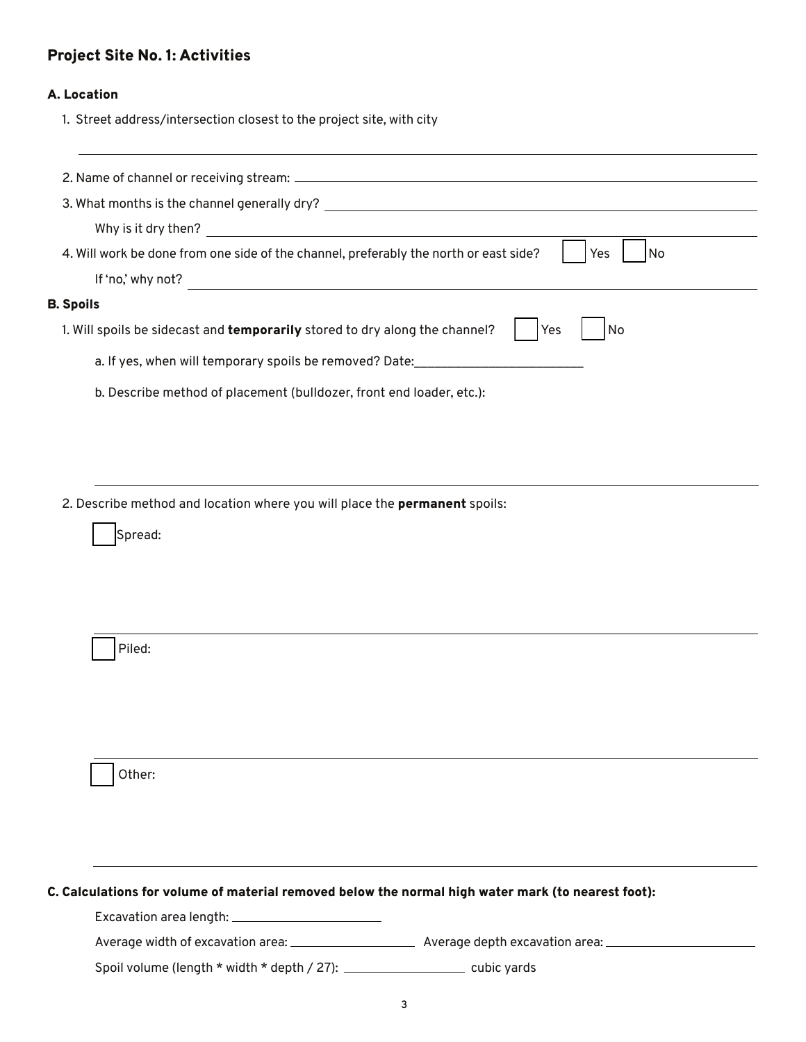# Project Site No. 1: Activities

#### A. Location

1. Street address/intersection closest to the project site, with city

| 3. What months is the channel generally dry?                                                       |  |
|----------------------------------------------------------------------------------------------------|--|
| Why is it dry then?                                                                                |  |
| 4. Will work be done from one side of the channel, preferably the north or east side?<br>Yes<br>No |  |
| If 'no,' why not?                                                                                  |  |
| <b>B.</b> Spoils                                                                                   |  |
| 1. Will spoils be sidecast and temporarily stored to dry along the channel?<br>Yes<br>No           |  |
| a. If yes, when will temporary spoils be removed? Date:                                            |  |
| b. Describe method of placement (bulldozer, front end loader, etc.):                               |  |
|                                                                                                    |  |

2. Describe method and location where you will place the permanent spoils:

Spread:

Piled:

Other:

#### C. Calculations for volume of material removed below the normal high water mark (to nearest foot):

Excavation area length:

Average width of excavation area: Average depth excavation area:

Spoil volume (length \* width \* depth / 27): \_\_\_\_\_\_\_\_\_\_\_\_\_\_\_\_\_\_\_\_\_\_\_\_\_ cubic yards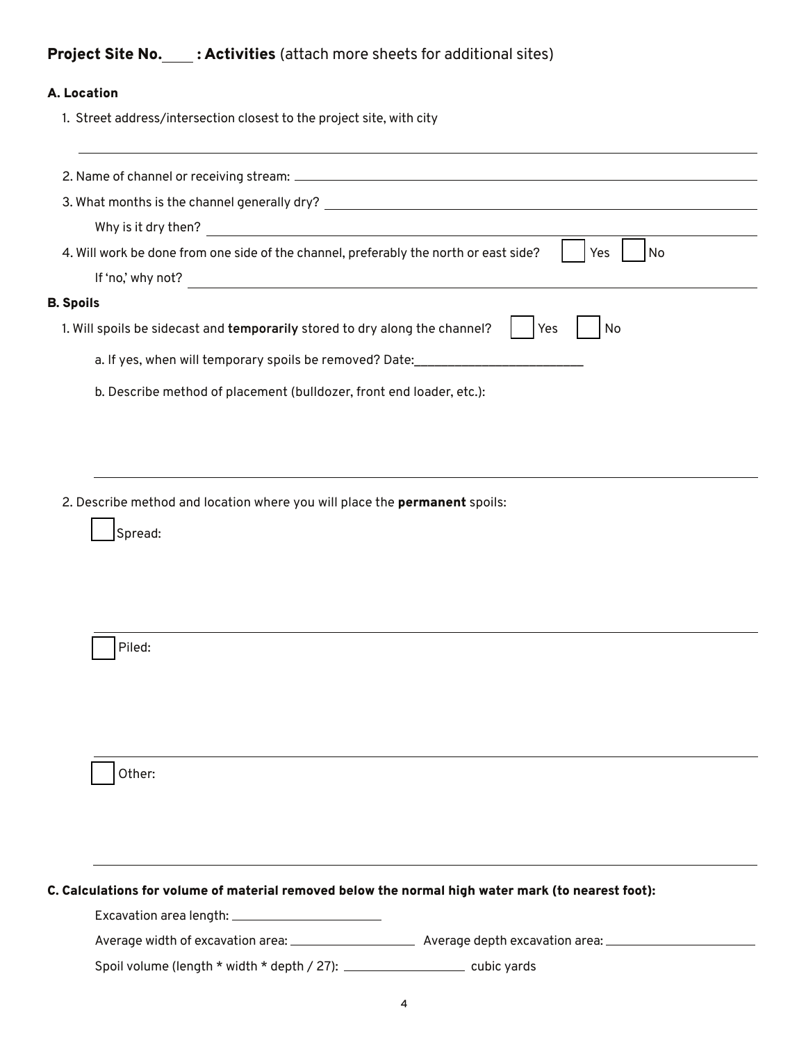# Project Site No. : Activities (attach more sheets for additional sites)

#### A. Location

1. Street address/intersection closest to the project site, with city

| 3. What months is the channel generally dry?                                                       |  |
|----------------------------------------------------------------------------------------------------|--|
| Why is it dry then?                                                                                |  |
| 4. Will work be done from one side of the channel, preferably the north or east side?<br>Yes<br>No |  |
| If 'no,' why not?                                                                                  |  |
| <b>B.</b> Spoils                                                                                   |  |
| 1. Will spoils be sidecast and temporarily stored to dry along the channel?<br>Yes<br>No           |  |
| a. If yes, when will temporary spoils be removed? Date:                                            |  |
| b. Describe method of placement (bulldozer, front end loader, etc.):                               |  |
|                                                                                                    |  |

2. Describe method and location where you will place the **permanent** spoils:

Spread:

Piled:

Other:

#### C. Calculations for volume of material removed below the normal high water mark (to nearest foot):

Excavation area length:

Average width of excavation area: Average depth excavation area:

Spoil volume (length \* width \* depth / 27): \_\_\_\_\_\_\_\_\_\_\_\_\_\_\_\_\_\_\_\_\_\_\_\_\_ cubic yards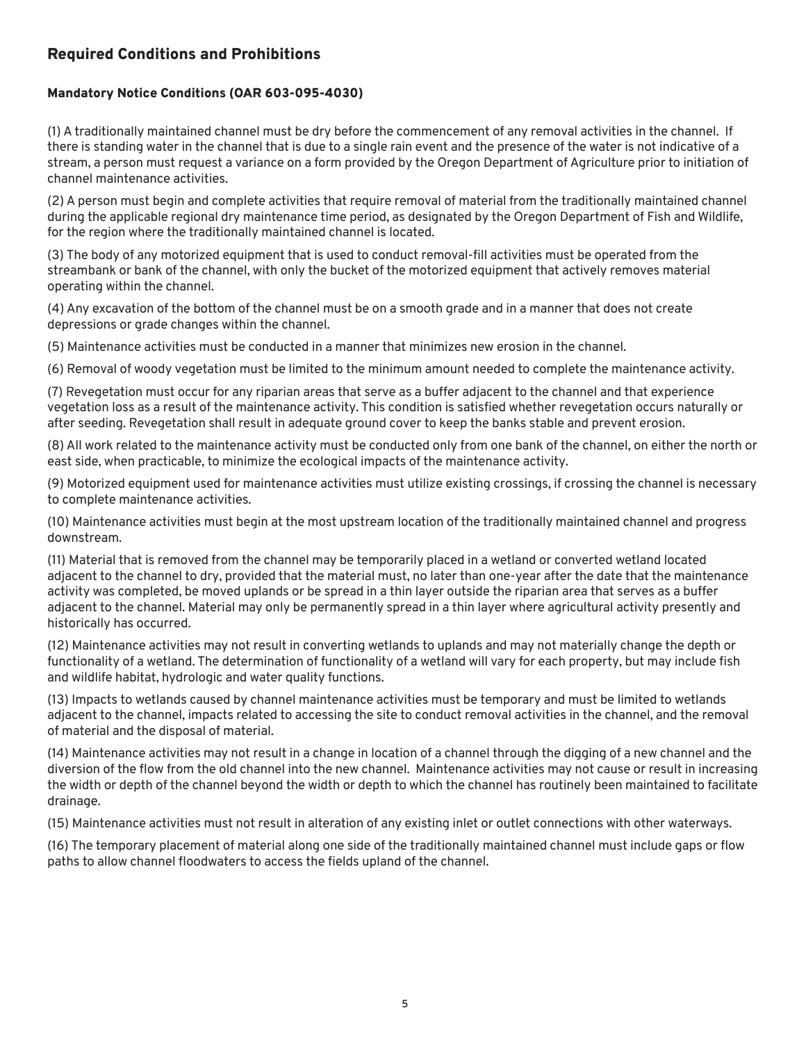# Required Conditions and Prohibitions

#### Mandatory Notice Conditions (OAR 603-095-4030)

(1) A traditionally maintained channel must be dry before the commencement of any removal activities in the channel. If there is standing water in the channel that is due to a single rain event and the presence of the water is not indicative of a stream, a person must request a variance on a form provided by the Oregon Department of Agriculture prior to initiation of channel maintenance activities.

(2) A person must begin and complete activities that require removal of material from the traditionally maintained channel during the applicable regional dry maintenance time period, as designated by the Oregon Department of Fish and Wildlife, for the region where the traditionally maintained channel is located.

(3) The body of any motorized equipment that is used to conduct removal-fill activities must be operated from the streambank or bank of the channel, with only the bucket of the motorized equipment that actively removes material operating within the channel.

(4) Any excavation of the bottom of the channel must be on a smooth grade and in a manner that does not create depressions or grade changes within the channel.

(5) Maintenance activities must be conducted in a manner that minimizes new erosion in the channel.

(6) Removal of woody vegetation must be limited to the minimum amount needed to complete the maintenance activity.

(7) Revegetation must occur for any riparian areas that serve as a buffer adjacent to the channel and that experience vegetation loss as a result of the maintenance activity. This condition is satisfied whether revegetation occurs naturally or after seeding. Revegetation shall result in adequate ground cover to keep the banks stable and prevent erosion.

(8) All work related to the maintenance activity must be conducted only from one bank of the channel, on either the north or east side, when practicable, to minimize the ecological impacts of the maintenance activity.

(9) Motorized equipment used for maintenance activities must utilize existing crossings, if crossing the channel is necessary to complete maintenance activities.

(10) Maintenance activities must begin at the most upstream location of the traditionally maintained channel and progress downstream.

(11) Material that is removed from the channel may be temporarily placed in a wetland or converted wetland located adjacent to the channel to dry, provided that the material must, no later than one-year after the date that the maintenance activity was completed, be moved uplands or be spread in a thin layer outside the riparian area that serves as a buffer adjacent to the channel. Material may only be permanently spread in a thin layer where agricultural activity presently and historically has occurred.

(12) Maintenance activities may not result in converting wetlands to uplands and may not materially change the depth or functionality of a wetland. The determination of functionality of a wetland will vary for each property, but may include fish and wildlife habitat, hydrologic and water quality functions.

(13) Impacts to wetlands caused by channel maintenance activities must be temporary and must be limited to wetlands adjacent to the channel, impacts related to accessing the site to conduct removal activities in the channel, and the removal of material and the disposal of material.

(14) Maintenance activities may not result in a change in location of a channel through the digging of a new channel and the diversion of the flow from the old channel into the new channel. Maintenance activities may not cause or result in increasing the width or depth of the channel beyond the width or depth to which the channel has routinely been maintained to facilitate drainage.

(15) Maintenance activities must not result in alteration of any existing inlet or outlet connections with other waterways.

(16) The temporary placement of material along one side of the traditionally maintained channel must include gaps or flow paths to allow channel floodwaters to access the fields upland of the channel.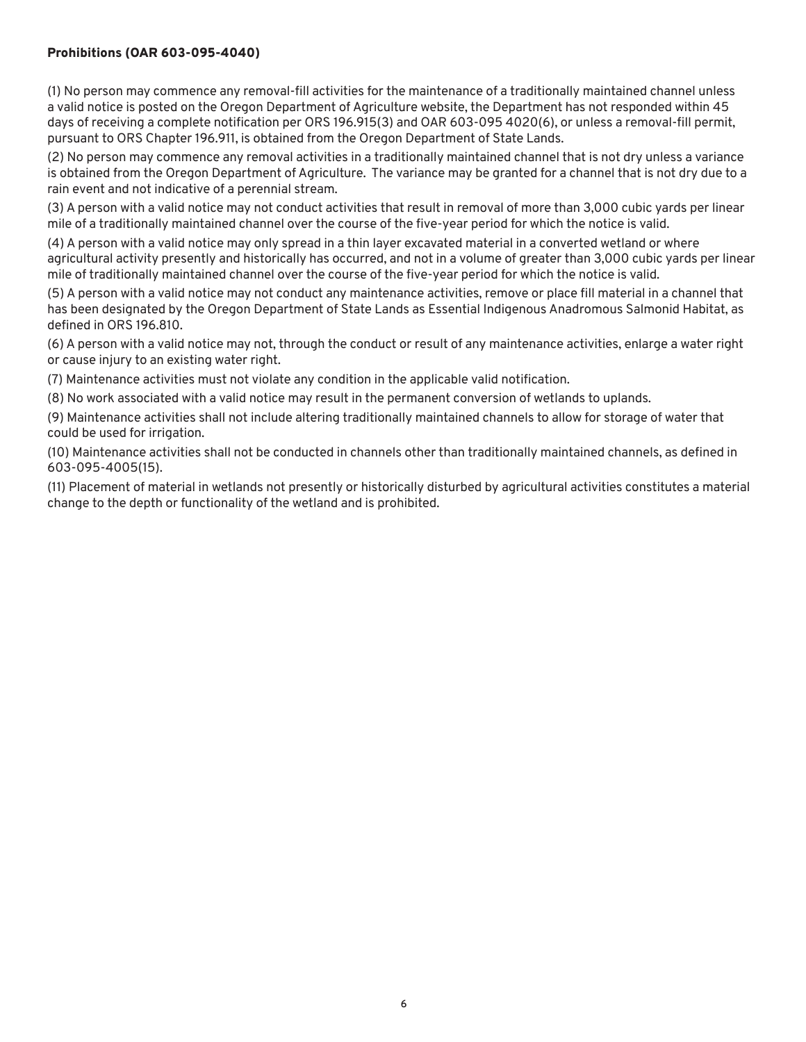#### Prohibitions (OAR 603-095-4040)

(1) No person may commence any removal-fill activities for the maintenance of a traditionally maintained channel unless a valid notice is posted on the Oregon Department of Agriculture website, the Department has not responded within 45 days of receiving a complete notification per ORS 196.915(3) and OAR 603-095 4020(6), or unless a removal-fill permit, pursuant to ORS Chapter 196.911, is obtained from the Oregon Department of State Lands.

(2) No person may commence any removal activities in a traditionally maintained channel that is not dry unless a variance is obtained from the Oregon Department of Agriculture. The variance may be granted for a channel that is not dry due to a rain event and not indicative of a perennial stream.

(3) A person with a valid notice may not conduct activities that result in removal of more than 3,000 cubic yards per linear mile of a traditionally maintained channel over the course of the five-year period for which the notice is valid.

(4) A person with a valid notice may only spread in a thin layer excavated material in a converted wetland or where agricultural activity presently and historically has occurred, and not in a volume of greater than 3,000 cubic yards per linear mile of traditionally maintained channel over the course of the five-year period for which the notice is valid.

(5) A person with a valid notice may not conduct any maintenance activities, remove or place fill material in a channel that has been designated by the Oregon Department of State Lands as Essential Indigenous Anadromous Salmonid Habitat, as defined in ORS 196.810.

(6) A person with a valid notice may not, through the conduct or result of any maintenance activities, enlarge a water right or cause injury to an existing water right.

(7) Maintenance activities must not violate any condition in the applicable valid notification.

(8) No work associated with a valid notice may result in the permanent conversion of wetlands to uplands.

(9) Maintenance activities shall not include altering traditionally maintained channels to allow for storage of water that could be used for irrigation.

(10) Maintenance activities shall not be conducted in channels other than traditionally maintained channels, as defined in 603-095-4005(15).

(11) Placement of material in wetlands not presently or historically disturbed by agricultural activities constitutes a material change to the depth or functionality of the wetland and is prohibited.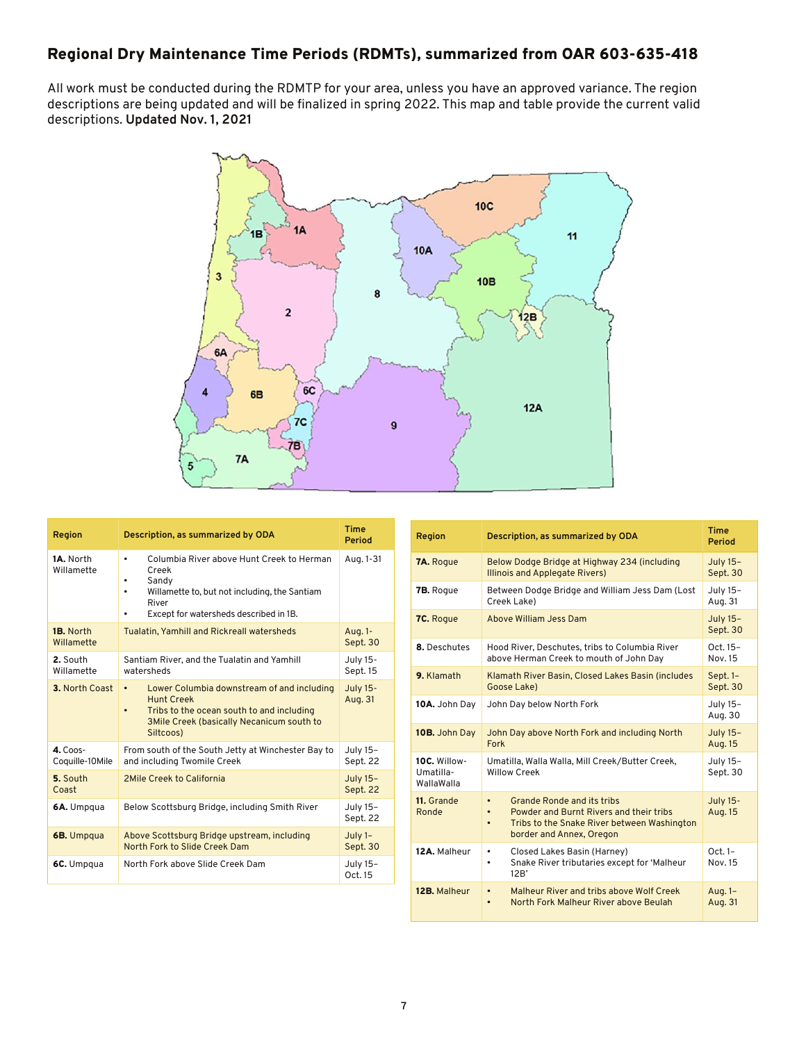# Regional Dry Maintenance Time Periods (RDMTs), summarized from OAR 603-635-418

All work must be conducted during the RDMTP for your area, unless you have an approved variance. The region descriptions are being updated and will be finalized in spring 2022. This map and table provide the current valid descriptions. **Updated Nov. 1, 2021**



| Region                        | Description, as summarized by ODA                                                                                                                                                                       | Time<br>Period             |
|-------------------------------|---------------------------------------------------------------------------------------------------------------------------------------------------------------------------------------------------------|----------------------------|
| 1A. North<br>Willamette       | Columbia River above Hunt Creek to Herman<br>$\bullet$<br>Creek<br>Sandy<br>Willamette to, but not including, the Santiam<br>٠<br>River<br>Except for watersheds described in 1B.<br>٠                  | Aug. 1-31                  |
| 1B. North<br>Willamette       | Tualatin, Yamhill and Rickreall watersheds                                                                                                                                                              | Aug. 1-<br>Sept. 30        |
| 2. South<br>Willamette        | Santiam River, and the Tualatin and Yamhill<br>watersheds                                                                                                                                               | July 15-<br>Sept. 15       |
| 3. North Coast                | Lower Columbia downstream of and including<br>$\bullet$<br><b>Hunt Creek</b><br>Tribs to the ocean south to and including<br>$\bullet$<br><b>3Mile Creek (basically Necanicum south to</b><br>Siltcoos) | <b>July 15-</b><br>Aug. 31 |
| $4.$ Coos-<br>Coquille-10Mile | From south of the South Jetty at Winchester Bay to<br>and including Twomile Creek                                                                                                                       | July 15-<br>Sept. 22       |
| 5. South<br>Coast             | 2Mile Creek to California                                                                                                                                                                               | July 15-<br>Sept. 22       |
| 6A. Umpqua                    | Below Scottsburg Bridge, including Smith River                                                                                                                                                          | July 15-<br>Sept. 22       |
| 6B. Umpqua                    | Above Scottsburg Bridge upstream, including<br>North Fork to Slide Creek Dam                                                                                                                            | $July 1-$<br>Sept. 30      |
| 6C. Umpqua                    | North Fork above Slide Creek Dam                                                                                                                                                                        | July 15-<br>Oct. 15        |

| Region                                  | Description, as summarized by ODA                                                                                                                                                              | <b>Time</b><br>Period       |
|-----------------------------------------|------------------------------------------------------------------------------------------------------------------------------------------------------------------------------------------------|-----------------------------|
| <b>7A.</b> Rogue                        | Below Dodge Bridge at Highway 234 (including<br><b>Illinois and Applegate Rivers)</b>                                                                                                          | July 15-<br>Sept. 30        |
| <b>7B.</b> Roque                        | Between Dodge Bridge and William Jess Dam (Lost<br>Creek Lake)                                                                                                                                 | July 15-<br>Aug. 31         |
| 7C. Rogue                               | Above William Jess Dam                                                                                                                                                                         | <b>July 15-</b><br>Sept. 30 |
| 8. Deschutes                            | Hood River, Deschutes, tribs to Columbia River<br>above Herman Creek to mouth of John Day                                                                                                      | Oct. 15-<br>Nov. 15         |
| 9. Klamath                              | Klamath River Basin, Closed Lakes Basin (includes<br>Goose Lake)                                                                                                                               | Sept. 1-<br>Sept. 30        |
| 10A. John Day                           | John Day below North Fork                                                                                                                                                                      | July 15-<br>Aug. 30         |
| 10B. John Day                           | John Day above North Fork and including North<br>Fork                                                                                                                                          | <b>July 15-</b><br>Aug. 15  |
| 10C. Willow-<br>Umatilla-<br>WallaWalla | Umatilla, Walla Walla, Mill Creek/Butter Creek,<br><b>Willow Creek</b>                                                                                                                         | July 15-<br>Sept. 30        |
| 11. Grande<br>Ronde                     | <b>Grande Ronde and its tribs</b><br>$\bullet$<br>Powder and Burnt Rivers and their tribs<br>$\bullet$<br>Tribs to the Snake River between Washington<br>$\bullet$<br>border and Annex, Oregon | <b>July 15-</b><br>Aug. 15  |
| 12A. Malheur                            | Closed Lakes Basin (Harney)<br>٠<br>Snake River tributaries except for 'Malheur<br>٠<br>12B'                                                                                                   | $Oct.1-$<br>Nov. 15         |
| 12B. Malheur                            | Malheur River and tribs above Wolf Creek<br>$\bullet$<br>North Fork Malheur River above Beulah<br>$\bullet$                                                                                    | Aug. 1-<br>Aug. 31          |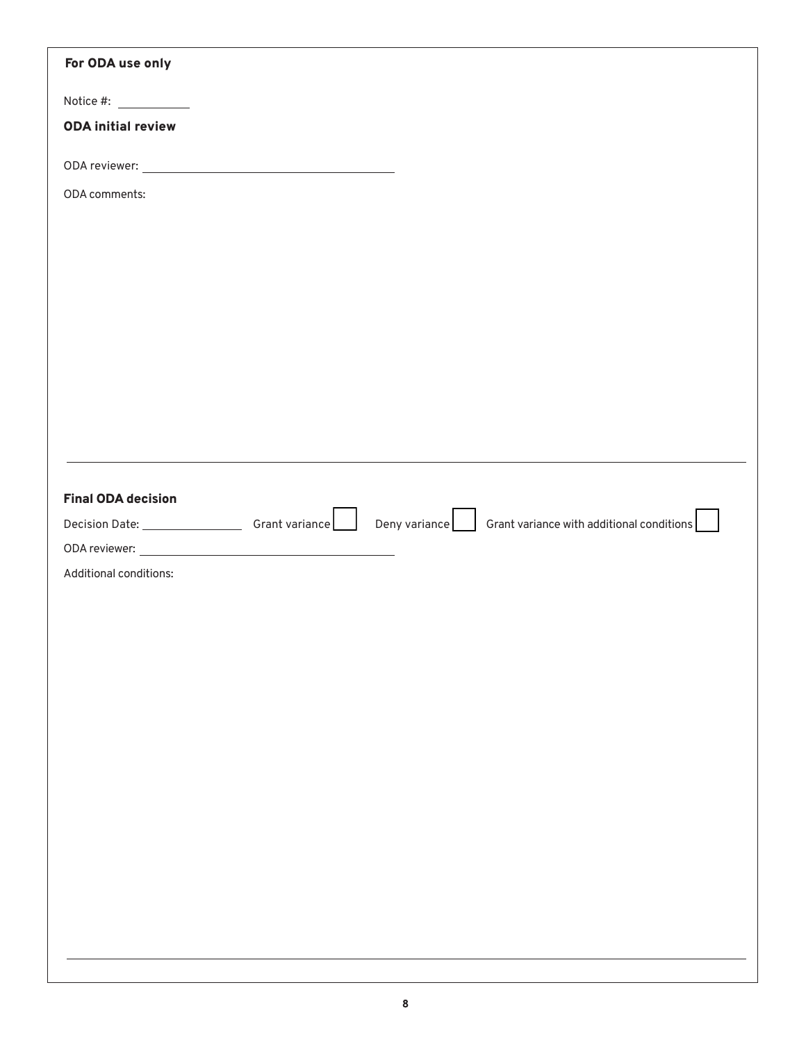| For ODA use only                                                                                                         |  |  |
|--------------------------------------------------------------------------------------------------------------------------|--|--|
| Notice #: $\frac{1}{2}$                                                                                                  |  |  |
| <b>ODA initial review</b>                                                                                                |  |  |
|                                                                                                                          |  |  |
| ODA comments:                                                                                                            |  |  |
|                                                                                                                          |  |  |
|                                                                                                                          |  |  |
|                                                                                                                          |  |  |
|                                                                                                                          |  |  |
|                                                                                                                          |  |  |
|                                                                                                                          |  |  |
|                                                                                                                          |  |  |
|                                                                                                                          |  |  |
|                                                                                                                          |  |  |
| <b>Final ODA decision</b>                                                                                                |  |  |
| Decision Date: ____________________Grant variance ________Deny variance _______Grant variance with additional conditions |  |  |
|                                                                                                                          |  |  |
| Additional conditions:                                                                                                   |  |  |
|                                                                                                                          |  |  |
|                                                                                                                          |  |  |
|                                                                                                                          |  |  |
|                                                                                                                          |  |  |
|                                                                                                                          |  |  |
|                                                                                                                          |  |  |
|                                                                                                                          |  |  |
|                                                                                                                          |  |  |
|                                                                                                                          |  |  |
|                                                                                                                          |  |  |
|                                                                                                                          |  |  |
|                                                                                                                          |  |  |
|                                                                                                                          |  |  |